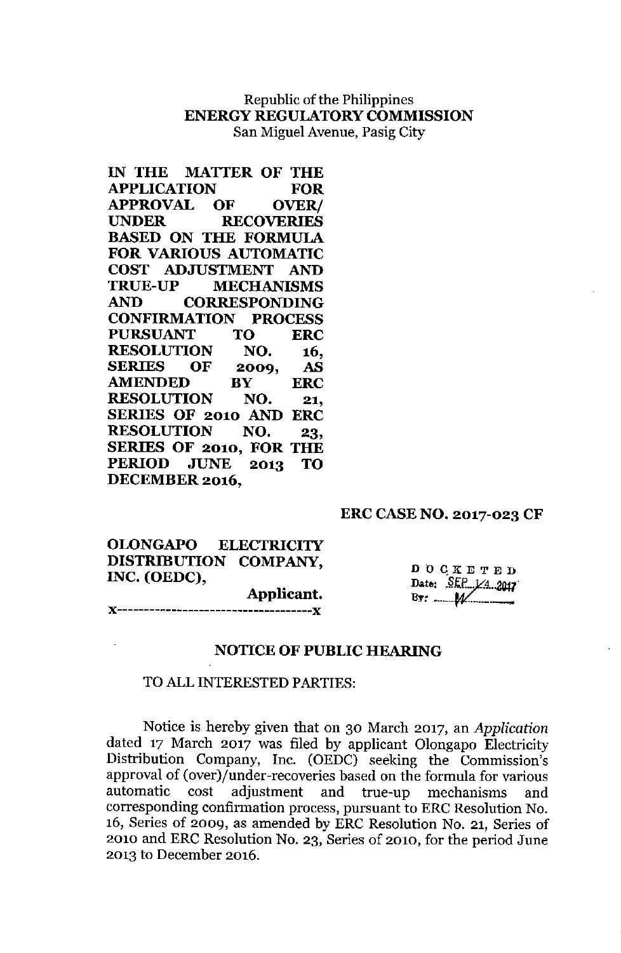# Republic of the Philippines ENERGY REGULATORY COMMISSION San Miguel Avenue, Pasig City

| IN THE MATTER OF THE                             |           |     |            |
|--------------------------------------------------|-----------|-----|------------|
|                                                  |           |     | FOR        |
| <b>APPLICATION FOR<br/>APPROVAL OF OVER/</b>     |           |     |            |
| UNDER RECOVERIES                                 |           |     |            |
| <b>BASED ON THE FORMULA</b>                      |           |     |            |
| <b>FOR VARIOUS AUTOMATIC</b>                     |           |     |            |
| COST ADJUSTMENT AND                              |           |     |            |
| TRUE-UP MECHANISMS                               |           |     |            |
| AND CORRESPONDING                                |           |     |            |
| <b>CONFIRMATION PROCESS</b>                      |           |     |            |
| PURSUANT TO ERC                                  |           |     |            |
| <b>RESOLUTION NO. 16,<br/>SERIES OF 2009, AS</b> |           |     |            |
|                                                  |           |     |            |
| <b>AMENDED</b>                                   | <b>BY</b> |     | <b>ERC</b> |
| <b>RESOLUTION</b>                                |           | NO. | 21,        |
| SERIES OF 2010 AND ERC                           |           |     |            |
| <b>RESOLUTION NO.</b>                            |           |     | 23,        |
| SERIES OF 2010, FOR THE                          |           |     |            |
| PERIOD JUNE 2013 TO                              |           |     |            |
| <b>DECEMBER 2016.</b>                            |           |     |            |

## ERC CASE NO. 2017-023 CF

OLONGAPO ELECTRICITY DISTRIBUTION COMPANY, INC. (OEDC),

Applicant. )(------------------------------------){

 $D$  O C K E T E D Date: SEP 1/4 2017

#### NOTICE OF PUBLIC HEARING

## TO ALL INTERESTED PARTIES:

Notice is hereby given that on 30 March 2017, an *Application* dated 17 March 2017 was filed by applicant Olongapo Electricity Distribution Company, Inc. (OEDC) seeking the Commission's approval of (over)/under-recoveries based on the formula for various<br>automatic cost adjustment and true-up mechanisms and cost adjustment and true-up mechanisms and corresponding confirmation process, pursuant to ERC Resolution No. 16, Series of 2009, as amended by ERC Resolution No. 21, Series of 2010 and ERC Resolution No. 23, Series of 2010, for the period June 2013 to December 2016.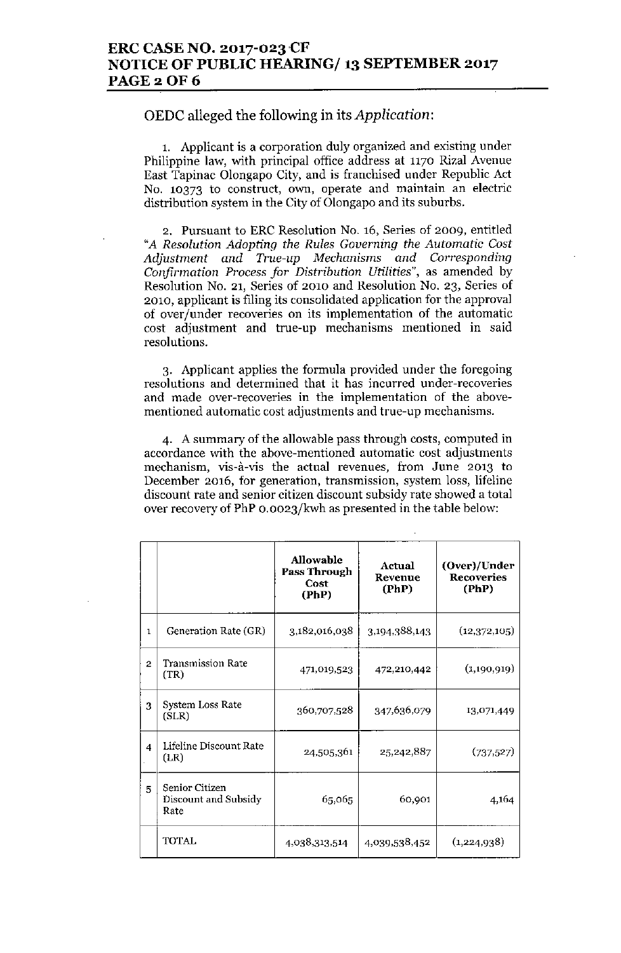## ERC CASE NO. 2017-023CF NOTICE OF PUBLIC HEARING/ 13 SEPTEMBER 2017 **PAGE 2 OF 6**

## OEDC alleged the following in its *Application:*

1. Applicant is a corporation duly organized and existing under Philippine law, with principal office address at 1170 Rizal Avenue East Tapinac Olongapo City, and is franchised under Republic Act No. 10373 to construct, own, operate and maintain an electric distribution system in the City of Olongapo and its suburbs.

2. Pursuant to ERC Resolution No. 16, Series of 2009, entitled *"A Resolution Adopting the Rules Governing the Automatic Cost Adjustment and True-up Mechanisms and Corresponding Confirmation Process for Distribution Utilities",* as amended by Resolution No. 21, Series of 2010 and Resolution No. 23, Series of 2010, applicant is filing its consolidated application for the approval of over/under recoveries on its implementation of the automatic cost adjustment and true-up mechanisms mentioned in said resolutions.

3. Applicant applies the formula provided under the foregoing resolutions and determined that it has incurred under-recoveries and made over-recoveries in the implementation of the abovementioned automatic cost adjustments and true-up mechanisms.

4. A summary of the allowable pass through costs, computed in accordance with the above-mentioned automatic cost adjustments mechanism, vis-à-vis the actual revenues, from June 2013 to December 2016, for generation, transmission, system loss, lifeline discount rate and senior citizen discount subsidy rate showed a total over recovery of PhP O.0023/kwh as presented in the table below:

|                |                                                | <b>Allowable</b><br>Pass Through<br>Cost<br>(PhP) | Actual<br>Revenue<br>(PhP) | (Over)/Under<br><b>Recoveries</b><br>(PhP) |
|----------------|------------------------------------------------|---------------------------------------------------|----------------------------|--------------------------------------------|
| 1              | Generation Rate (GR)                           | 3,182,016,038                                     | 3,194,388,143              | (12,372,105)                               |
| $\overline{2}$ | Transmission Rate<br>(TR)                      | 471,019,523                                       | 472,210,442                | (1,190,919)                                |
| 3              | System Loss Rate<br>(SLR)                      | 360,707,528                                       | 347,636,079                | 13,071,449                                 |
| 4              | Lifeline Discount Rate<br>(LR)                 | 24,505,361                                        | 25,242,887                 | (737, 527)                                 |
| 5              | Senior Citizen<br>Discount and Subsidy<br>Rate | 65,065                                            | 60,901                     | 4,164                                      |
|                | <b>TOTAL</b>                                   | 4,038,313,514                                     | 4,039,538,452              | (1,224,938)                                |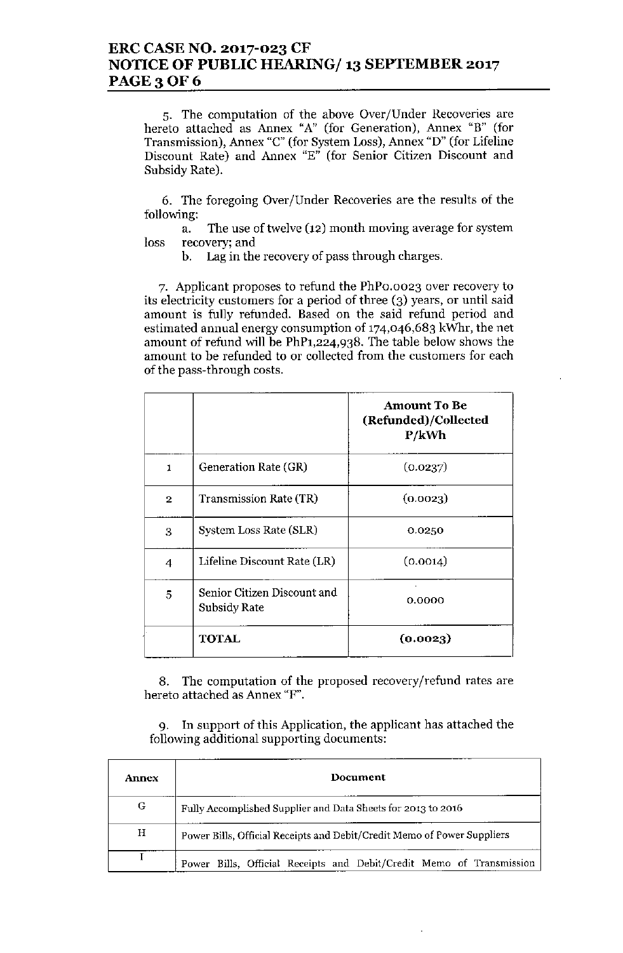# ERC CASE NO. 2017-023 CF NOTICE OF PUBLIC HEARING/ 13 SEPTEMBER 2017 **PAGE 3 OF 6**

5. The computation of the above Over/Under Recoveries are hereto attached as Annex "A" (for Generation), Annex "B" (for Transmission), Annex "C" (for System Loss), Annex "D" (for Lifeline Discount Rate) and Annex "E" (for Senior Citizen Discount and Subsidy Rate).

6. The foregoing Over/Under Recoveries are the results of the following:

a. The use of twelve (12) month moving average for system loss recovery; and

b. Lag in the recovery of pass through charges.

7. Applicant proposes to refund the PhPO.0023 over recovery to its electricity customers for a period of three (3) years, or until said amount is fully refunded. Based on the said refund period and estimated annual energy consumption of  $174,046,683$  kWhr, the net amount of refund will be PhPl,224,938. The table below shows the amount to be refunded to or collected from the customers for each of the pass-through costs.

|                |                                             | <b>Amount To Be</b><br>(Refunded)/Collected<br>P/kWh |
|----------------|---------------------------------------------|------------------------------------------------------|
| 1              | Generation Rate (GR)                        | (0.0237)                                             |
| $\overline{2}$ | Transmission Rate (TR)                      | (0.0023)                                             |
| 3              | System Loss Rate (SLR)                      | 0.0250                                               |
| 4              | Lifeline Discount Rate (LR)                 | (0.0014)                                             |
| 5              | Senior Citizen Discount and<br>Subsidy Rate | 0.0000                                               |
|                | TOTAL                                       | (0.0023)                                             |

8. The computation of the proposed recovery/refund rates are hereto attached as Annex "F".

9. In support of this Application, the applicant has attached the following additional supporting documents:

| Annex | Document                                                                |  |  |
|-------|-------------------------------------------------------------------------|--|--|
| G     | Fully Accomplished Supplier and Data Sheets for 2013 to 2016            |  |  |
| Н     | Power Bills, Official Receipts and Debit/Credit Memo of Power Suppliers |  |  |
|       | Power Bills, Official Receipts and Debit/Credit Memo of Transmission    |  |  |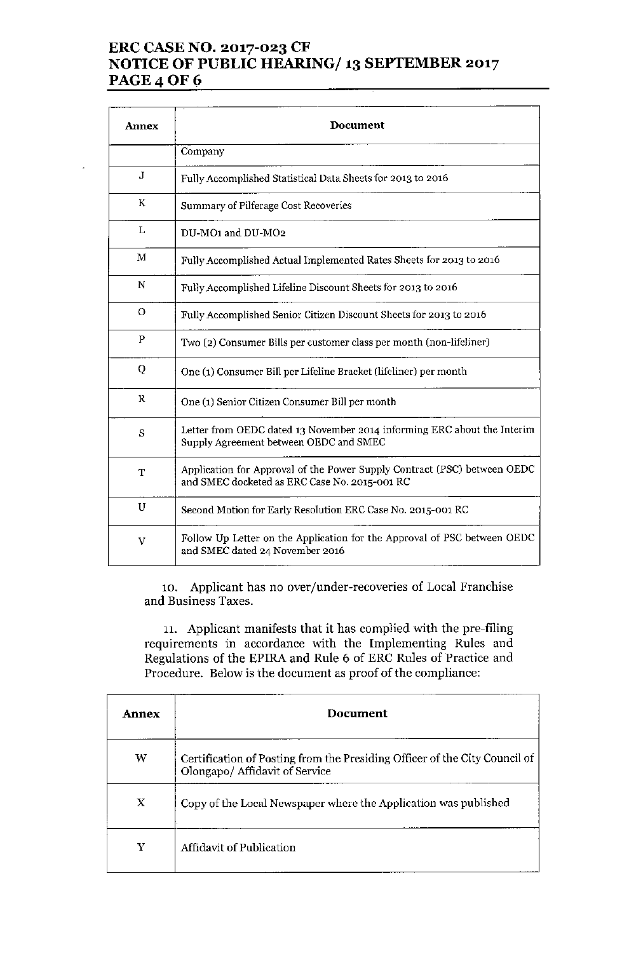# ERC CASE NO. 2017-023 CF NOTICE OF PUBLIC HEARING/ 13 SEPTEMBER 2017 **PAGE 4 OF 6**

| <b>Annex</b> | Document                                                                                                                  |  |
|--------------|---------------------------------------------------------------------------------------------------------------------------|--|
|              | Company                                                                                                                   |  |
| J            | Fully Accomplished Statistical Data Sheets for 2013 to 2016                                                               |  |
| K            | Summary of Pilferage Cost Recoveries                                                                                      |  |
| L            | DU-MO1 and DU-MO2                                                                                                         |  |
| М            | Fully Accomplished Actual Implemented Rates Sheets for 2013 to 2016                                                       |  |
| N            | Fully Accomplished Lifeline Discount Sheets for 2013 to 2016                                                              |  |
| $\circ$      | Fully Accomplished Senior Citizen Discount Sheets for 2013 to 2016                                                        |  |
| ${\bf P}$    | Two (2) Consumer Bills per customer class per month (non-lifeliner)                                                       |  |
| Q            | One (1) Consumer Bill per Lifeline Bracket (lifeliner) per month                                                          |  |
| ĸ            | One (1) Senior Citizen Consumer Bill per month                                                                            |  |
| S            | Letter from OEDC dated 13 November 2014 informing ERC about the Interim<br>Supply Agreement between OEDC and SMEC         |  |
| T            | Application for Approval of the Power Supply Contract (PSC) between OEDC<br>and SMEC docketed as ERC Case No. 2015-001 RC |  |
| U            | Second Motion for Early Resolution ERC Case No. 2015-001 RC                                                               |  |
| V            | Follow Up Letter on the Application for the Approval of PSC between OEDC<br>and SMEC dated 24 November 2016               |  |

10. Applicant has no over/under-recoveries of Local Franchise and Business Taxes.

11. Applicant manifests that it has complied with the pre-filing requirements in accordance with the Implementing Rules and Regulations of the EPIRA and Rule 6 of ERC Rules of Practice and Procedure. Below is the document as proof of the compliance:

| Annex | Document                                                                                                     |
|-------|--------------------------------------------------------------------------------------------------------------|
| w     | Certification of Posting from the Presiding Officer of the City Council of<br>Olongapo/ Affidavit of Service |
| X     | Copy of the Local Newspaper where the Application was published                                              |
| Y     | Affidavit of Publication                                                                                     |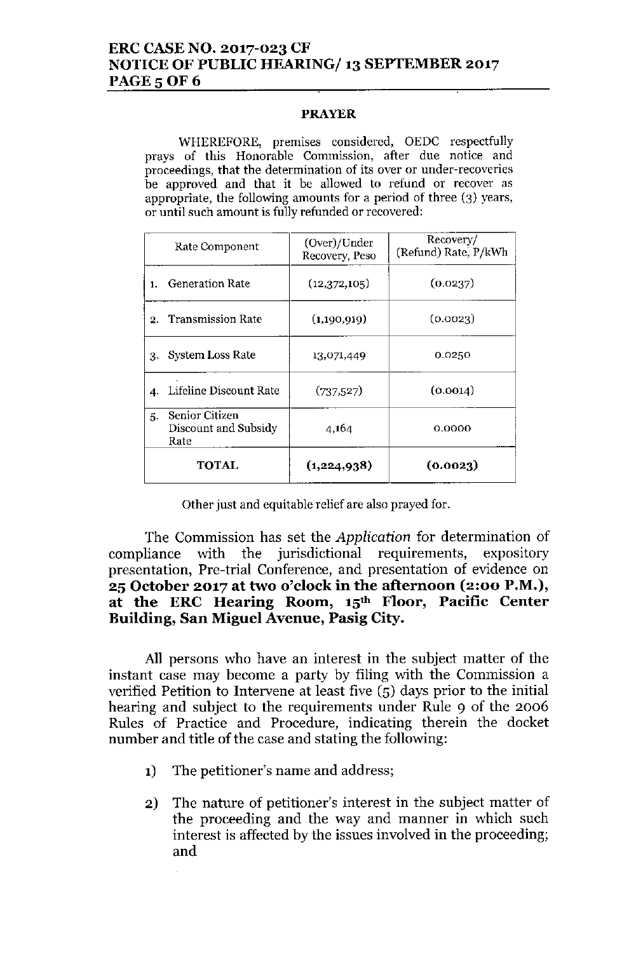# ERC CASENO. 2017-023 CF NOTICE OF PUBLIC HEARING/ 13 SEPTEMBER 2017 **PAGE 5 OF 6**

## PRAYER

WHEREFORE, premises considered, OEDC respectfully prays of this Honorable Commission, after due notice and proceedings, that the determination of its over or under-recoveries be approved and that it be allowed to refund or recover as appropriate, the following amounts for a period of three (3) years, or until such amount is fully refunded or recovered:

|    | Rate Component                                 | (Over)/Under<br>Recovery, Peso | Recovery/<br>(Refund) Rate, P/kWh |
|----|------------------------------------------------|--------------------------------|-----------------------------------|
| 1. | <b>Generation Rate</b>                         | (12,372,105)                   | (0.0237)                          |
|    | 2. Transmission Rate                           | (1,190,919)                    | (0.0023)                          |
| 3. | System Loss Rate                               | 13,071,449                     | 0.0250                            |
|    | 4. Lifeline Discount Rate                      | (737,527)                      | (0.0014)                          |
| 5. | Senior Citizen<br>Discount and Subsidy<br>Rate | 4,164                          | 0.0000                            |
|    | TOTAL                                          | (1,224,938)                    | (0.0023)                          |

Other just and equitable relief are also prayed for.

The Commission has set the *Application* for determination of compliance with the jurisdictional requirements, expository presentation, Pre-trial Conference, and presentation of evidence on 25 October 2017 at two o'clock in the afternoon (2:00 P.M.), at the ERC Hearing Room, 15th Floor, Pacific Center Building, San Miguel Avenue, Pasig City.

All persons who have an interest in the subject matter of the instant case may become a party by filing with the Commission a verified Petition to Intervene at least five (5) days prior to the initial hearing and subject to the requirements under Rule 9 of the 2006 Rules of Practice and Procedure, indicating therein the docket number and title of the case and stating the following:

1) The petitioner's name and address;

J.

2) The nature of petitioner's interest in the subject matter of the proceeding and the way and manner in which such interest is affected by the issues involved in the proceeding; and